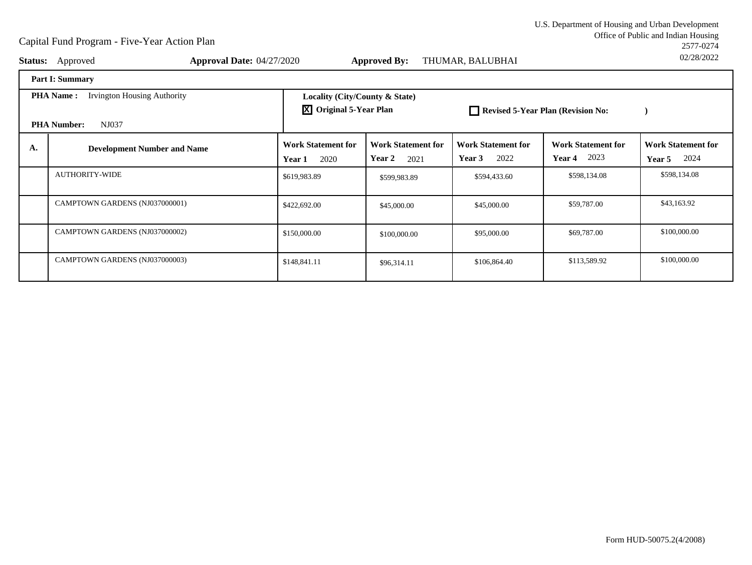Office of Public and Indian Housing<br>2577-0274 U.S. Department of Housing and Urban Development2577-027402/28/2022

| <b>Status:</b>                                         | Approved                           | Approval Date: 04/27/2020 |                                                                 | <b>Approved By:</b>                                | THUMAR, BALUBHAI                            |                                                    | 02/28/2022                                  |
|--------------------------------------------------------|------------------------------------|---------------------------|-----------------------------------------------------------------|----------------------------------------------------|---------------------------------------------|----------------------------------------------------|---------------------------------------------|
|                                                        | <b>Part I: Summary</b>             |                           |                                                                 |                                                    |                                             |                                                    |                                             |
| <b>Irvington Housing Authority</b><br><b>PHA Name:</b> |                                    |                           | Locality (City/County & State)<br><b>X</b> Original 5-Year Plan |                                                    | Revised 5-Year Plan (Revision No:           |                                                    |                                             |
|                                                        | NJ037<br><b>PHA Number:</b>        |                           |                                                                 |                                                    |                                             |                                                    |                                             |
| А.                                                     | <b>Development Number and Name</b> | Year 1                    | <b>Work Statement for</b><br>2020                               | <b>Work Statement for</b><br><b>Year 2</b><br>2021 | <b>Work Statement for</b><br>2022<br>Year 3 | <b>Work Statement for</b><br>2023<br><b>Year 4</b> | <b>Work Statement for</b><br>2024<br>Year 5 |
|                                                        | <b>AUTHORITY-WIDE</b>              |                           | \$619,983.89                                                    | \$599,983.89                                       | \$594,433.60                                | \$598,134.08                                       | \$598,134.08                                |
|                                                        | CAMPTOWN GARDENS (NJ037000001)     |                           | \$422,692.00                                                    | \$45,000.00                                        | \$45,000.00                                 | \$59,787.00                                        | \$43,163.92                                 |
|                                                        | CAMPTOWN GARDENS (NJ037000002)     |                           | \$150,000.00                                                    | \$100,000.00                                       | \$95,000.00                                 | \$69,787.00                                        | \$100,000.00                                |
|                                                        | CAMPTOWN GARDENS (NJ037000003)     |                           | \$148,841.11                                                    | \$96,314.11                                        | \$106,864.40                                | \$113,589.92                                       | \$100,000.00                                |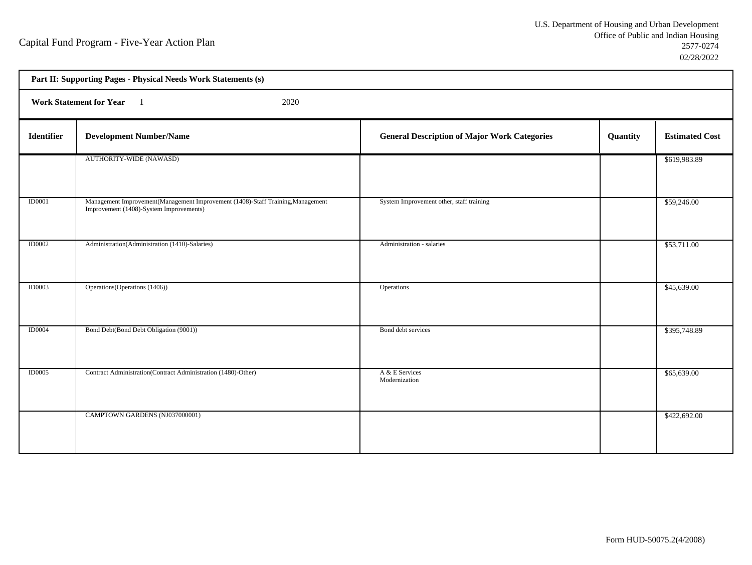h

| Part II: Supporting Pages - Physical Needs Work Statements (s) |                                                                                                                            |                                                     |          |                       |  |  |
|----------------------------------------------------------------|----------------------------------------------------------------------------------------------------------------------------|-----------------------------------------------------|----------|-----------------------|--|--|
|                                                                | <b>Work Statement for Year</b><br>2020                                                                                     |                                                     |          |                       |  |  |
| Identifier                                                     | <b>Development Number/Name</b>                                                                                             | <b>General Description of Major Work Categories</b> | Quantity | <b>Estimated Cost</b> |  |  |
|                                                                | AUTHORITY-WIDE (NAWASD)                                                                                                    |                                                     |          | \$619,983.89          |  |  |
| ID0001                                                         | Management Improvement(Management Improvement (1408)-Staff Training, Management<br>Improvement (1408)-System Improvements) | System Improvement other, staff training            |          | \$59,246.00           |  |  |
| <b>ID0002</b>                                                  | Administration(Administration (1410)-Salaries)                                                                             | Administration - salaries                           |          | \$53,711.00           |  |  |
| <b>ID0003</b>                                                  | Operations (Operations (1406))                                                                                             | Operations                                          |          | \$45,639.00           |  |  |
| ID0004                                                         | Bond Debt(Bond Debt Obligation (9001))                                                                                     | Bond debt services                                  |          | \$395,748.89          |  |  |
| <b>ID0005</b>                                                  | Contract Administration(Contract Administration (1480)-Other)                                                              | A & E Services<br>Modernization                     |          | \$65,639.00           |  |  |
|                                                                | CAMPTOWN GARDENS (NJ037000001)                                                                                             |                                                     |          | \$422,692.00          |  |  |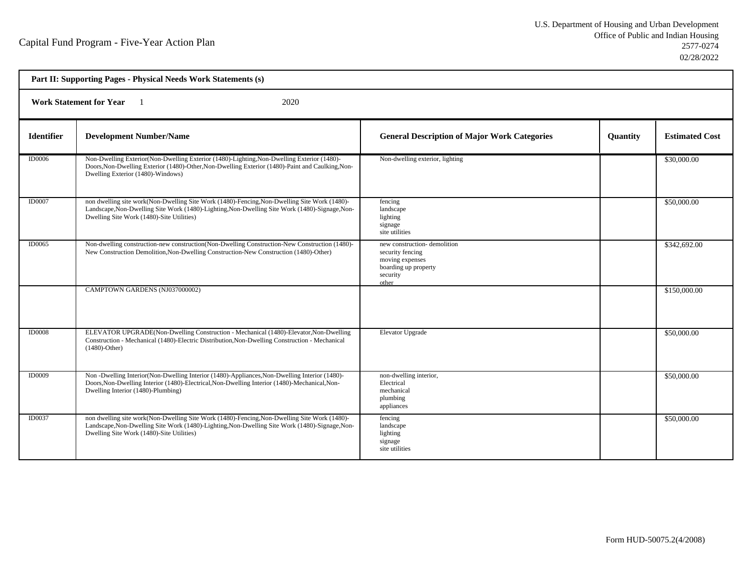| Part II: Supporting Pages - Physical Needs Work Statements (s) |                                                                                                                                                                                                                                             |                                                                                                                 |                 |                       |  |  |  |
|----------------------------------------------------------------|---------------------------------------------------------------------------------------------------------------------------------------------------------------------------------------------------------------------------------------------|-----------------------------------------------------------------------------------------------------------------|-----------------|-----------------------|--|--|--|
|                                                                | <b>Work Statement for Year</b><br>2020                                                                                                                                                                                                      |                                                                                                                 |                 |                       |  |  |  |
| <b>Identifier</b>                                              | <b>Development Number/Name</b>                                                                                                                                                                                                              | <b>General Description of Major Work Categories</b>                                                             | <b>Quantity</b> | <b>Estimated Cost</b> |  |  |  |
| <b>ID0006</b>                                                  | Non-Dwelling Exterior (Non-Dwelling Exterior (1480)-Lighting, Non-Dwelling Exterior (1480)-<br>Doors, Non-Dwelling Exterior (1480)-Other, Non-Dwelling Exterior (1480)-Paint and Caulking, Non-<br>Dwelling Exterior (1480)-Windows)        | Non-dwelling exterior, lighting                                                                                 |                 | \$30,000.00           |  |  |  |
| <b>ID0007</b>                                                  | non dwelling site work(Non-Dwelling Site Work (1480)-Fencing, Non-Dwelling Site Work (1480)-<br>Landscape, Non-Dwelling Site Work (1480)-Lighting, Non-Dwelling Site Work (1480)-Signage, Non-<br>Dwelling Site Work (1480)-Site Utilities) | fencing<br>landscape<br>lighting<br>signage<br>site utilities                                                   |                 | \$50,000.00           |  |  |  |
| <b>ID0065</b>                                                  | Non-dwelling construction-new construction(Non-Dwelling Construction-New Construction (1480)-<br>New Construction Demolition, Non-Dwelling Construction-New Construction (1480)-Other)                                                      | new construction-demolition<br>security fencing<br>moving expenses<br>boarding up property<br>security<br>other |                 | \$342,692.00          |  |  |  |
|                                                                | CAMPTOWN GARDENS (NJ037000002)                                                                                                                                                                                                              |                                                                                                                 |                 | \$150,000.00          |  |  |  |
| <b>ID0008</b>                                                  | ELEVATOR UPGRADE(Non-Dwelling Construction - Mechanical (1480)-Elevator, Non-Dwelling<br>Construction - Mechanical (1480)-Electric Distribution, Non-Dwelling Construction - Mechanical<br>$(1480)$ -Other)                                 | <b>Elevator Upgrade</b>                                                                                         |                 | \$50,000.00           |  |  |  |
| <b>ID0009</b>                                                  | Non-Dwelling Interior (Non-Dwelling Interior (1480)-Appliances, Non-Dwelling Interior (1480)-<br>Doors, Non-Dwelling Interior (1480)-Electrical, Non-Dwelling Interior (1480)-Mechanical, Non-<br>Dwelling Interior (1480)-Plumbing)        | non-dwelling interior,<br>Electrical<br>mechanical<br>plumbing<br>appliances                                    |                 | \$50,000.00           |  |  |  |
| ID0037                                                         | non dwelling site work(Non-Dwelling Site Work (1480)-Fencing, Non-Dwelling Site Work (1480)-<br>Landscape, Non-Dwelling Site Work (1480)-Lighting, Non-Dwelling Site Work (1480)-Signage, Non-<br>Dwelling Site Work (1480)-Site Utilities) | fencing<br>landscape<br>lighting<br>signage<br>site utilities                                                   |                 | \$50,000.00           |  |  |  |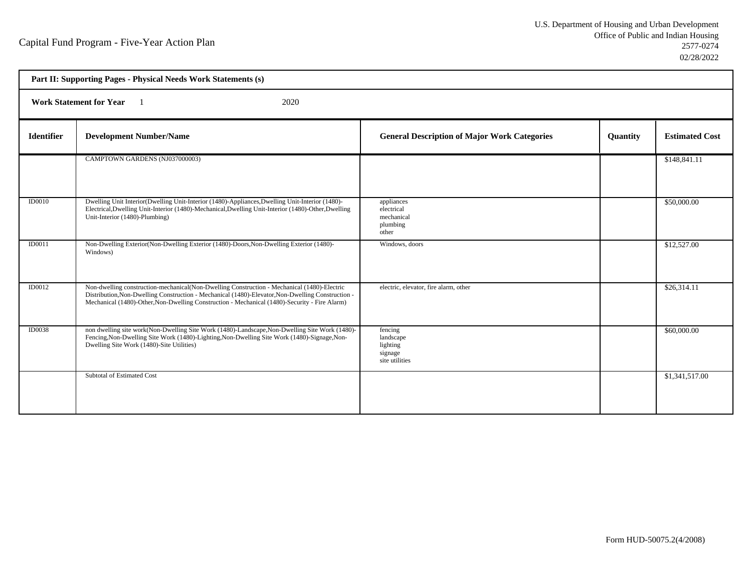| Part II: Supporting Pages - Physical Needs Work Statements (s) |                                                                                                                                                                                                                                                                                                   |                                                               |          |                       |  |
|----------------------------------------------------------------|---------------------------------------------------------------------------------------------------------------------------------------------------------------------------------------------------------------------------------------------------------------------------------------------------|---------------------------------------------------------------|----------|-----------------------|--|
| <b>Work Statement for Year</b><br>2020                         |                                                                                                                                                                                                                                                                                                   |                                                               |          |                       |  |
| <b>Identifier</b>                                              | <b>Development Number/Name</b>                                                                                                                                                                                                                                                                    | <b>General Description of Major Work Categories</b>           | Quantity | <b>Estimated Cost</b> |  |
|                                                                | CAMPTOWN GARDENS (NJ037000003)                                                                                                                                                                                                                                                                    |                                                               |          | \$148,841.11          |  |
| <b>ID0010</b>                                                  | Dwelling Unit Interior(Dwelling Unit-Interior (1480)-Appliances, Dwelling Unit-Interior (1480)-<br>Electrical, Dwelling Unit-Interior (1480)-Mechanical, Dwelling Unit-Interior (1480)-Other, Dwelling<br>Unit-Interior (1480)-Plumbing)                                                          | appliances<br>electrical<br>mechanical<br>plumbing<br>other   |          | \$50,000.00           |  |
| ID0011                                                         | Non-Dwelling Exterior (Non-Dwelling Exterior (1480)-Doors, Non-Dwelling Exterior (1480)-<br>Windows)                                                                                                                                                                                              | Windows, doors                                                |          | \$12,527.00           |  |
| <b>ID0012</b>                                                  | Non-dwelling construction-mechanical(Non-Dwelling Construction - Mechanical (1480)-Electric<br>Distribution, Non-Dwelling Construction - Mechanical (1480)-Elevator, Non-Dwelling Construction -<br>Mechanical (1480)-Other, Non-Dwelling Construction - Mechanical (1480)-Security - Fire Alarm) | electric, elevator, fire alarm, other                         |          | \$26,314.11           |  |
| ID0038                                                         | non dwelling site work(Non-Dwelling Site Work (1480)-Landscape, Non-Dwelling Site Work (1480)-<br>Fencing, Non-Dwelling Site Work (1480)-Lighting, Non-Dwelling Site Work (1480)-Signage, Non-<br>Dwelling Site Work (1480)-Site Utilities)                                                       | fencing<br>landscape<br>lighting<br>signage<br>site utilities |          | \$60,000.00           |  |
|                                                                | Subtotal of Estimated Cost                                                                                                                                                                                                                                                                        |                                                               |          | \$1,341,517.00        |  |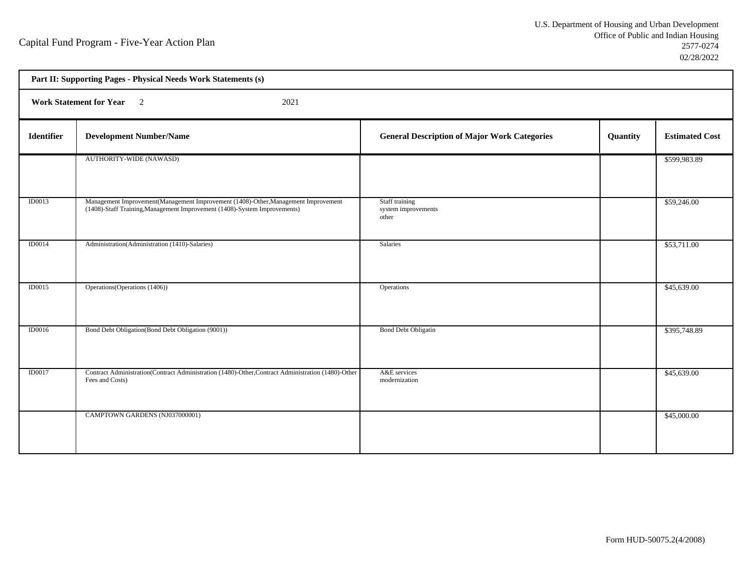|                   | Part II: Supporting Pages - Physical Needs Work Statements (s)                                                                                                   |                                                     |          |                       |  |  |
|-------------------|------------------------------------------------------------------------------------------------------------------------------------------------------------------|-----------------------------------------------------|----------|-----------------------|--|--|
|                   | Work Statement for Year 2<br>2021                                                                                                                                |                                                     |          |                       |  |  |
| <b>Identifier</b> | <b>Development Number/Name</b>                                                                                                                                   | <b>General Description of Major Work Categories</b> | Quantity | <b>Estimated Cost</b> |  |  |
|                   | AUTHORITY-WIDE (NAWASD)                                                                                                                                          |                                                     |          | \$599,983.89          |  |  |
| <b>ID0013</b>     | Management Improvement (Management Improvement (1408)-Other, Management Improvement<br>(1408)-Staff Training, Management Improvement (1408)-System Improvements) | Staff training<br>system improvements<br>other      |          | \$59,246.00           |  |  |
| ID0014            | Administration (Administration (1410)-Salaries)                                                                                                                  | Salaries                                            |          | \$53,711.00           |  |  |
| ID0015            | Operations (Operations (1406))                                                                                                                                   | Operations                                          |          | \$45,639.00           |  |  |
| <b>ID0016</b>     | Bond Debt Obligation(Bond Debt Obligation (9001))                                                                                                                | <b>Bond Debt Obligatin</b>                          |          | \$395,748.89          |  |  |
| <b>ID0017</b>     | Contract Administration(Contract Administration (1480)-Other, Contract Administration (1480)-Other<br>Fees and Costs)                                            | A&E services<br>modernization                       |          | \$45,639.00           |  |  |
|                   | CAMPTOWN GARDENS (NJ037000001)                                                                                                                                   |                                                     |          | \$45,000.00           |  |  |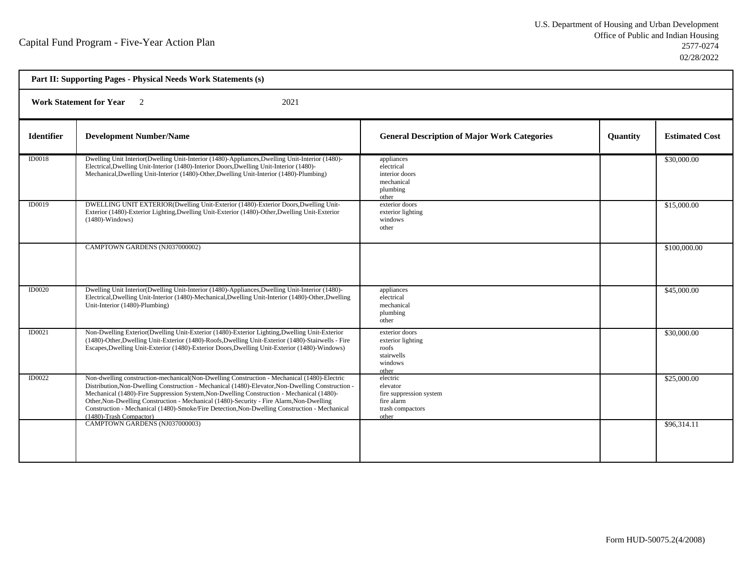| Part II: Supporting Pages - Physical Needs Work Statements (s) |                                                                                                                                                                                                                                                                                                                                                                                                                                                                                                                       |                                                                                            |          |                       |  |  |
|----------------------------------------------------------------|-----------------------------------------------------------------------------------------------------------------------------------------------------------------------------------------------------------------------------------------------------------------------------------------------------------------------------------------------------------------------------------------------------------------------------------------------------------------------------------------------------------------------|--------------------------------------------------------------------------------------------|----------|-----------------------|--|--|
| <b>Work Statement for Year</b><br>2021<br>$\overline{2}$       |                                                                                                                                                                                                                                                                                                                                                                                                                                                                                                                       |                                                                                            |          |                       |  |  |
| <b>Identifier</b>                                              | <b>Development Number/Name</b>                                                                                                                                                                                                                                                                                                                                                                                                                                                                                        | <b>General Description of Major Work Categories</b>                                        | Quantity | <b>Estimated Cost</b> |  |  |
| <b>ID0018</b>                                                  | Dwelling Unit Interior(Dwelling Unit-Interior (1480)-Appliances, Dwelling Unit-Interior (1480)-<br>Electrical, Dwelling Unit-Interior (1480)-Interior Doors, Dwelling Unit-Interior (1480)-<br>Mechanical, Dwelling Unit-Interior (1480)-Other, Dwelling Unit-Interior (1480)-Plumbing)                                                                                                                                                                                                                               | appliances<br>electrical<br>interior doors<br>mechanical<br>plumbing<br>other              |          | \$30,000.00           |  |  |
| ID0019                                                         | DWELLING UNIT EXTERIOR(Dwelling Unit-Exterior (1480)-Exterior Doors, Dwelling Unit-<br>Exterior (1480)-Exterior Lighting, Dwelling Unit-Exterior (1480)-Other, Dwelling Unit-Exterior<br>$(1480)$ -Windows)                                                                                                                                                                                                                                                                                                           | exterior doors<br>exterior lighting<br>windows<br>other                                    |          | \$15,000.00           |  |  |
|                                                                | CAMPTOWN GARDENS (NJ037000002)                                                                                                                                                                                                                                                                                                                                                                                                                                                                                        |                                                                                            |          | \$100,000.00          |  |  |
| ID0020                                                         | Dwelling Unit Interior(Dwelling Unit-Interior (1480)-Appliances, Dwelling Unit-Interior (1480)-<br>Electrical, Dwelling Unit-Interior (1480)-Mechanical, Dwelling Unit-Interior (1480)-Other, Dwelling<br>Unit-Interior (1480)-Plumbing)                                                                                                                                                                                                                                                                              | appliances<br>electrical<br>mechanical<br>plumbing<br>other                                |          | \$45,000.00           |  |  |
| ID0021                                                         | Non-Dwelling Exterior (Dwelling Unit-Exterior (1480)-Exterior Lighting, Dwelling Unit-Exterior<br>(1480)-Other, Dwelling Unit-Exterior (1480)-Roofs, Dwelling Unit-Exterior (1480)-Stairwells - Fire<br>Escapes, Dwelling Unit-Exterior (1480)-Exterior Doors, Dwelling Unit-Exterior (1480)-Windows)                                                                                                                                                                                                                 | exterior doors<br>exterior lighting<br>roofs<br>stairwells<br>windows<br>other             |          | \$30,000.00           |  |  |
| ID0022                                                         | Non-dwelling construction-mechanical(Non-Dwelling Construction - Mechanical (1480)-Electric<br>Distribution, Non-Dwelling Construction - Mechanical (1480)-Elevator, Non-Dwelling Construction -<br>Mechanical (1480)-Fire Suppression System, Non-Dwelling Construction - Mechanical (1480)-<br>Other, Non-Dwelling Construction - Mechanical (1480)-Security - Fire Alarm, Non-Dwelling<br>Construction - Mechanical (1480)-Smoke/Fire Detection, Non-Dwelling Construction - Mechanical<br>(1480)-Trash Compactor) | electric<br>elevator<br>fire suppression system<br>fire alarm<br>trash compactors<br>other |          | \$25,000.00           |  |  |
|                                                                | CAMPTOWN GARDENS (NJ037000003)                                                                                                                                                                                                                                                                                                                                                                                                                                                                                        |                                                                                            |          | \$96,314.11           |  |  |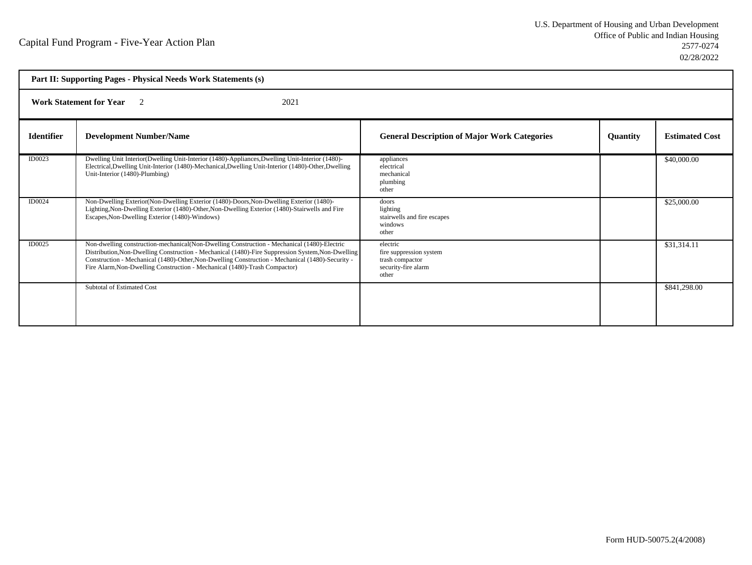|                   | Part II: Supporting Pages - Physical Needs Work Statements (s)                                                                                                                                                                                                                                                                                                                     |                                                                                        |                 |                       |  |
|-------------------|------------------------------------------------------------------------------------------------------------------------------------------------------------------------------------------------------------------------------------------------------------------------------------------------------------------------------------------------------------------------------------|----------------------------------------------------------------------------------------|-----------------|-----------------------|--|
|                   | <b>Work Statement for Year</b> 2<br>2021                                                                                                                                                                                                                                                                                                                                           |                                                                                        |                 |                       |  |
| <b>Identifier</b> | <b>Development Number/Name</b>                                                                                                                                                                                                                                                                                                                                                     | <b>General Description of Major Work Categories</b>                                    | <b>Quantity</b> | <b>Estimated Cost</b> |  |
| ID0023            | Dwelling Unit Interior(Dwelling Unit-Interior (1480)-Appliances, Dwelling Unit-Interior (1480)-<br>Electrical, Dwelling Unit-Interior (1480)-Mechanical, Dwelling Unit-Interior (1480)-Other, Dwelling<br>Unit-Interior (1480)-Plumbing)                                                                                                                                           | appliances<br>electrical<br>mechanical<br>plumbing<br>other                            |                 | \$40,000.00           |  |
| ID0024            | Non-Dwelling Exterior (Non-Dwelling Exterior (1480)-Doors, Non-Dwelling Exterior (1480)-<br>Lighting, Non-Dwelling Exterior (1480)-Other, Non-Dwelling Exterior (1480)-Stairwells and Fire<br>Escapes, Non-Dwelling Exterior (1480)-Windows)                                                                                                                                       | doors<br>lighting<br>stairwells and fire escapes<br>windows<br>other                   |                 | \$25,000.00           |  |
| ID0025            | Non-dwelling construction-mechanical(Non-Dwelling Construction - Mechanical (1480)-Electric<br>Distribution, Non-Dwelling Construction - Mechanical (1480)-Fire Suppression System, Non-Dwelling<br>Construction - Mechanical (1480)-Other, Non-Dwelling Construction - Mechanical (1480)-Security -<br>Fire Alarm, Non-Dwelling Construction - Mechanical (1480)-Trash Compactor) | electric<br>fire suppression system<br>trash compactor<br>security-fire alarm<br>other |                 | \$31,314.11           |  |
|                   | <b>Subtotal of Estimated Cost</b>                                                                                                                                                                                                                                                                                                                                                  |                                                                                        |                 | \$841,298.00          |  |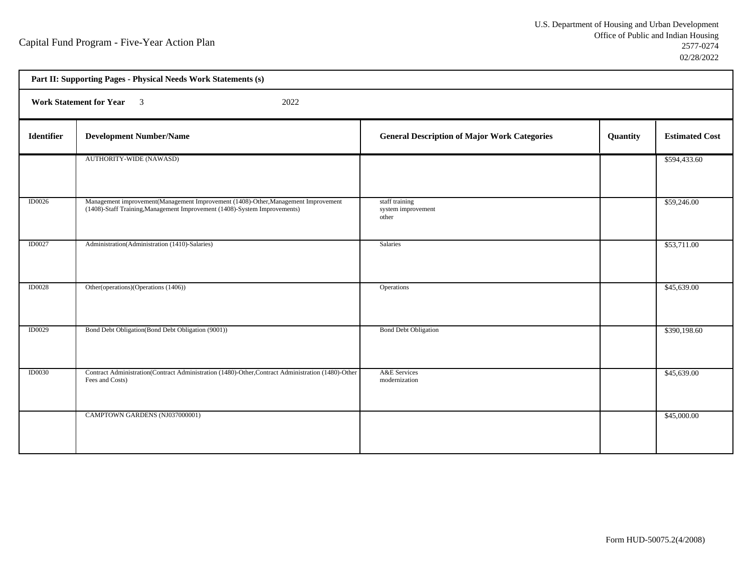| Part II: Supporting Pages - Physical Needs Work Statements (s) |                                                                                                                                                                 |                                                     |          |                       |  |  |
|----------------------------------------------------------------|-----------------------------------------------------------------------------------------------------------------------------------------------------------------|-----------------------------------------------------|----------|-----------------------|--|--|
|                                                                | <b>Work Statement for Year</b> 3<br>2022                                                                                                                        |                                                     |          |                       |  |  |
| <b>Identifier</b>                                              | <b>Development Number/Name</b>                                                                                                                                  | <b>General Description of Major Work Categories</b> | Quantity | <b>Estimated Cost</b> |  |  |
|                                                                | AUTHORITY-WIDE (NAWASD)                                                                                                                                         |                                                     |          | \$594,433.60          |  |  |
| <b>ID0026</b>                                                  | Management improvement(Management Improvement (1408)-Other, Management Improvement<br>(1408)-Staff Training, Management Improvement (1408)-System Improvements) | staff training<br>system improvement<br>other       |          | \$59,246.00           |  |  |
| <b>ID0027</b>                                                  | Administration(Administration (1410)-Salaries)                                                                                                                  | Salaries                                            |          | \$53,711.00           |  |  |
| <b>ID0028</b>                                                  | Other(operations)(Operations (1406))                                                                                                                            | Operations                                          |          | \$45,639.00           |  |  |
| <b>ID0029</b>                                                  | Bond Debt Obligation(Bond Debt Obligation (9001))                                                                                                               | <b>Bond Debt Obligation</b>                         |          | \$390,198.60          |  |  |
| <b>ID0030</b>                                                  | Contract Administration(Contract Administration (1480)-Other, Contract Administration (1480)-Other<br>Fees and Costs)                                           | A&E Services<br>modernization                       |          | \$45,639.00           |  |  |
|                                                                | CAMPTOWN GARDENS (NJ037000001)                                                                                                                                  |                                                     |          | \$45,000.00           |  |  |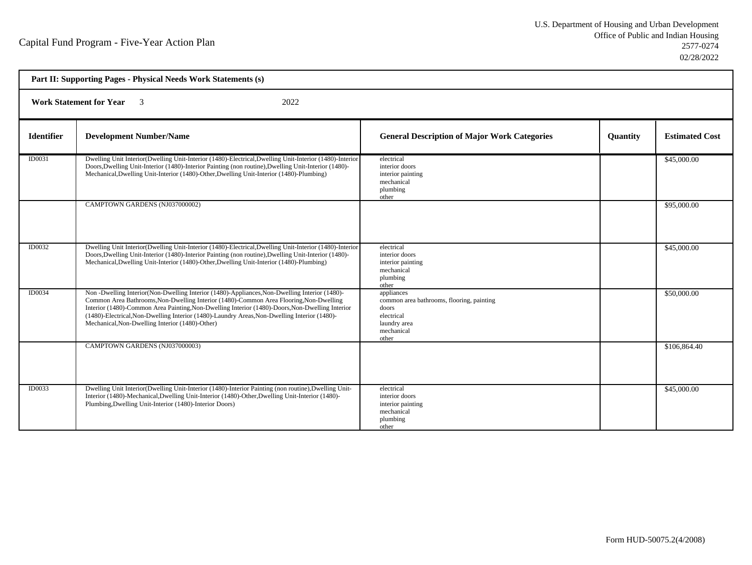| Part II: Supporting Pages - Physical Needs Work Statements (s) |                                                                                                                                                                                                                                                                                                                                                                                                                                               |                                                                                                                       |          |                       |  |  |
|----------------------------------------------------------------|-----------------------------------------------------------------------------------------------------------------------------------------------------------------------------------------------------------------------------------------------------------------------------------------------------------------------------------------------------------------------------------------------------------------------------------------------|-----------------------------------------------------------------------------------------------------------------------|----------|-----------------------|--|--|
|                                                                | 2022<br><b>Work Statement for Year</b><br>$\overline{\mathbf{3}}$                                                                                                                                                                                                                                                                                                                                                                             |                                                                                                                       |          |                       |  |  |
| <b>Identifier</b>                                              | <b>Development Number/Name</b>                                                                                                                                                                                                                                                                                                                                                                                                                | <b>General Description of Major Work Categories</b>                                                                   | Quantity | <b>Estimated Cost</b> |  |  |
| ID0031                                                         | Dwelling Unit Interior (Dwelling Unit-Interior (1480)-Electrical, Dwelling Unit-Interior (1480)-Interior<br>Doors, Dwelling Unit-Interior (1480)-Interior Painting (non routine), Dwelling Unit-Interior (1480)-<br>Mechanical, Dwelling Unit-Interior (1480)-Other, Dwelling Unit-Interior (1480)-Plumbing)                                                                                                                                  | electrical<br>interior doors<br>interior painting<br>mechanical<br>plumbing<br>other                                  |          | \$45,000.00           |  |  |
|                                                                | CAMPTOWN GARDENS (NJ037000002)                                                                                                                                                                                                                                                                                                                                                                                                                |                                                                                                                       |          | \$95,000.00           |  |  |
| <b>ID0032</b>                                                  | Dwelling Unit Interior(Dwelling Unit-Interior (1480)-Electrical, Dwelling Unit-Interior (1480)-Interior<br>Doors, Dwelling Unit-Interior (1480)-Interior Painting (non routine), Dwelling Unit-Interior (1480)-<br>Mechanical, Dwelling Unit-Interior (1480)-Other, Dwelling Unit-Interior (1480)-Plumbing)                                                                                                                                   | electrical<br>interior doors<br>interior painting<br>mechanical<br>plumbing<br>other                                  |          | \$45,000.00           |  |  |
| ID0034                                                         | Non -Dwelling Interior(Non-Dwelling Interior (1480)-Appliances, Non-Dwelling Interior (1480)-<br>Common Area Bathrooms, Non-Dwelling Interior (1480)-Common Area Flooring, Non-Dwelling<br>Interior (1480)-Common Area Painting, Non-Dwelling Interior (1480)-Doors, Non-Dwelling Interior<br>(1480)-Electrical, Non-Dwelling Interior (1480)-Laundry Areas, Non-Dwelling Interior (1480)-<br>Mechanical, Non-Dwelling Interior (1480)-Other) | appliances<br>common area bathrooms, flooring, painting<br>doors<br>electrical<br>laundry area<br>mechanical<br>other |          | \$50,000.00           |  |  |
|                                                                | CAMPTOWN GARDENS (NJ037000003)                                                                                                                                                                                                                                                                                                                                                                                                                |                                                                                                                       |          | \$106,864.40          |  |  |
| ID0033                                                         | Dwelling Unit Interior(Dwelling Unit-Interior (1480)-Interior Painting (non routine), Dwelling Unit-<br>Interior (1480)-Mechanical, Dwelling Unit-Interior (1480)-Other, Dwelling Unit-Interior (1480)-<br>Plumbing, Dwelling Unit-Interior (1480)-Interior Doors)                                                                                                                                                                            | electrical<br>interior doors<br>interior painting<br>mechanical<br>plumbing<br>other                                  |          | \$45,000.00           |  |  |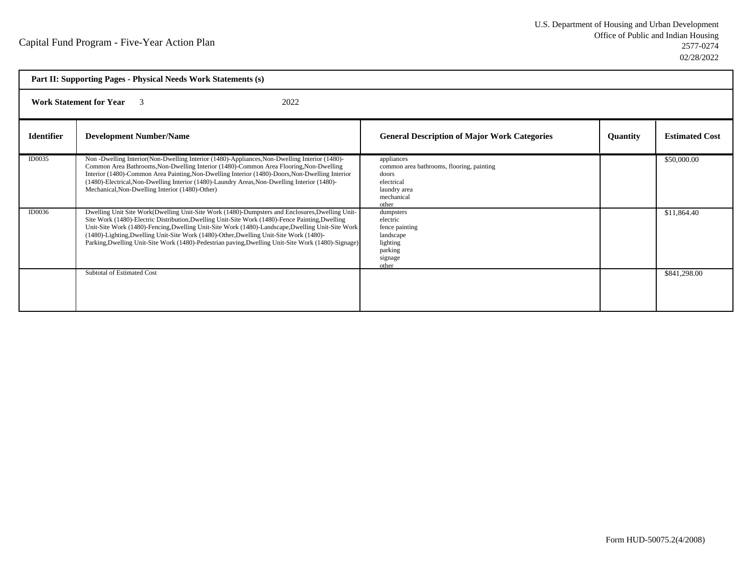|                   | Part II: Supporting Pages - Physical Needs Work Statements (s)                                                                                                                                                                                                                                                                                                                                                                                                                                         |                                                                                                                       |                 |                       |  |
|-------------------|--------------------------------------------------------------------------------------------------------------------------------------------------------------------------------------------------------------------------------------------------------------------------------------------------------------------------------------------------------------------------------------------------------------------------------------------------------------------------------------------------------|-----------------------------------------------------------------------------------------------------------------------|-----------------|-----------------------|--|
|                   | 2022<br><b>Work Statement for Year</b><br>$\mathcal{E}$                                                                                                                                                                                                                                                                                                                                                                                                                                                |                                                                                                                       |                 |                       |  |
| <b>Identifier</b> | <b>Development Number/Name</b>                                                                                                                                                                                                                                                                                                                                                                                                                                                                         | <b>General Description of Major Work Categories</b>                                                                   | <b>Quantity</b> | <b>Estimated Cost</b> |  |
| ID0035            | Non-Dwelling Interior (Non-Dwelling Interior (1480)-Appliances, Non-Dwelling Interior (1480)-<br>Common Area Bathrooms, Non-Dwelling Interior (1480)-Common Area Flooring, Non-Dwelling<br>Interior (1480)-Common Area Painting, Non-Dwelling Interior (1480)-Doors, Non-Dwelling Interior<br>(1480)-Electrical, Non-Dwelling Interior (1480)-Laundry Areas, Non-Dwelling Interior (1480)-<br>Mechanical, Non-Dwelling Interior (1480)-Other)                                                          | appliances<br>common area bathrooms, flooring, painting<br>doors<br>electrical<br>laundry area<br>mechanical<br>other |                 | \$50,000.00           |  |
| ID0036            | Dwelling Unit Site Work(Dwelling Unit-Site Work (1480)-Dumpsters and Enclosures, Dwelling Unit-<br>Site Work (1480)-Electric Distribution, Dwelling Unit-Site Work (1480)-Fence Painting, Dwelling<br>Unit-Site Work (1480)-Fencing, Dwelling Unit-Site Work (1480)-Landscape, Dwelling Unit-Site Work<br>(1480)-Lighting, Dwelling Unit-Site Work (1480)-Other, Dwelling Unit-Site Work (1480)-<br>Parking, Dwelling Unit-Site Work (1480)-Pedestrian paving, Dwelling Unit-Site Work (1480)-Signage) | dumpsters<br>electric<br>fence painting<br>landscape<br>lighting<br>parking<br>signage<br>other                       |                 | \$11,864.40           |  |
|                   | <b>Subtotal of Estimated Cost</b>                                                                                                                                                                                                                                                                                                                                                                                                                                                                      |                                                                                                                       |                 | \$841,298.00          |  |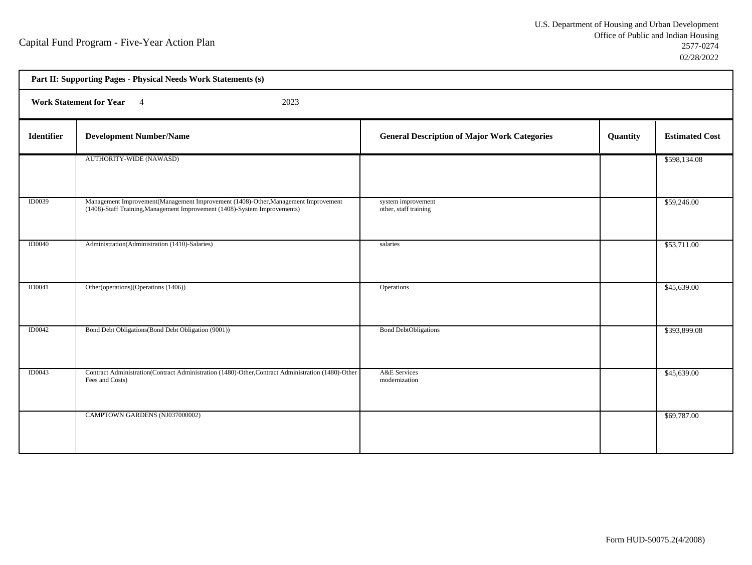| Part II: Supporting Pages - Physical Needs Work Statements (s) |                                                                                                                                                                 |                                                     |          |                       |  |  |
|----------------------------------------------------------------|-----------------------------------------------------------------------------------------------------------------------------------------------------------------|-----------------------------------------------------|----------|-----------------------|--|--|
|                                                                | <b>Work Statement for Year</b><br>2023<br>$\overline{4}$                                                                                                        |                                                     |          |                       |  |  |
| Identifier                                                     | <b>Development Number/Name</b>                                                                                                                                  | <b>General Description of Major Work Categories</b> | Quantity | <b>Estimated Cost</b> |  |  |
|                                                                | AUTHORITY-WIDE (NAWASD)                                                                                                                                         |                                                     |          | \$598,134.08          |  |  |
| <b>ID0039</b>                                                  | Management Improvement(Management Improvement (1408)-Other, Management Improvement<br>(1408)-Staff Training, Management Improvement (1408)-System Improvements) | system improvement<br>other, staff training         |          | \$59,246.00           |  |  |
| <b>ID0040</b>                                                  | Administration(Administration (1410)-Salaries)                                                                                                                  | salaries                                            |          | \$53,711.00           |  |  |
| ID0041                                                         | Other(operations)(Operations (1406))                                                                                                                            | Operations                                          |          | \$45,639.00           |  |  |
| <b>ID0042</b>                                                  | Bond Debt Obligations (Bond Debt Obligation (9001))                                                                                                             | <b>Bond DebtObligations</b>                         |          | \$393,899.08          |  |  |
| <b>ID0043</b>                                                  | Contract Administration(Contract Administration (1480)-Other, Contract Administration (1480)-Other<br>Fees and Costs)                                           | A&E Services<br>modernization                       |          | \$45,639.00           |  |  |
|                                                                | CAMPTOWN GARDENS (NJ037000002)                                                                                                                                  |                                                     |          | \$69,787.00           |  |  |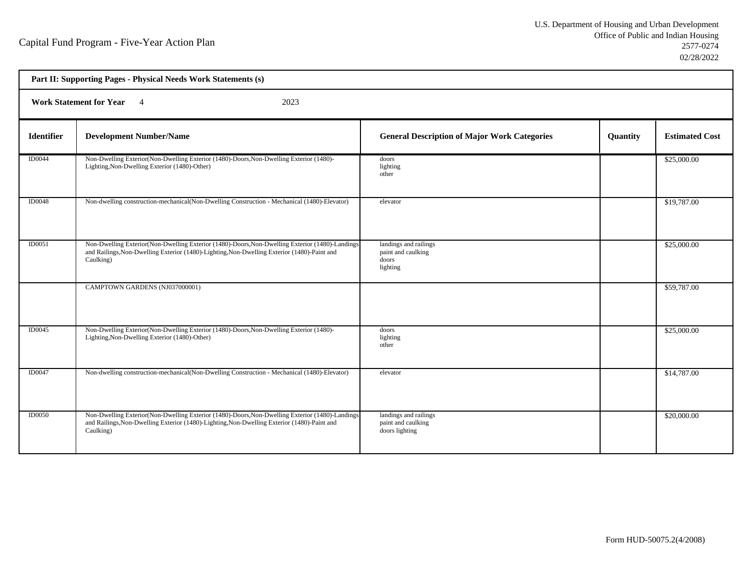| Part II: Supporting Pages - Physical Needs Work Statements (s) |                                                                                                                                                                                                              |                                                                  |          |                       |  |  |
|----------------------------------------------------------------|--------------------------------------------------------------------------------------------------------------------------------------------------------------------------------------------------------------|------------------------------------------------------------------|----------|-----------------------|--|--|
| Work Statement for Year 4<br>2023                              |                                                                                                                                                                                                              |                                                                  |          |                       |  |  |
| <b>Identifier</b>                                              | <b>Development Number/Name</b>                                                                                                                                                                               | <b>General Description of Major Work Categories</b>              | Quantity | <b>Estimated Cost</b> |  |  |
| <b>ID0044</b>                                                  | Non-Dwelling Exterior (Non-Dwelling Exterior (1480)-Doors, Non-Dwelling Exterior (1480)-<br>Lighting, Non-Dwelling Exterior (1480)-Other)                                                                    | doors<br>lighting<br>other                                       |          | \$25,000.00           |  |  |
| <b>ID0048</b>                                                  | Non-dwelling construction-mechanical(Non-Dwelling Construction - Mechanical (1480)-Elevator)                                                                                                                 | elevator                                                         |          | \$19,787.00           |  |  |
| ID0051                                                         | Non-Dwelling Exterior (Non-Dwelling Exterior (1480)-Doors, Non-Dwelling Exterior (1480)-Landings<br>and Railings, Non-Dwelling Exterior (1480)-Lighting, Non-Dwelling Exterior (1480)-Paint and<br>Caulking) | landings and railings<br>paint and caulking<br>doors<br>lighting |          | \$25,000.00           |  |  |
|                                                                | CAMPTOWN GARDENS (NJ037000001)                                                                                                                                                                               |                                                                  |          | \$59,787.00           |  |  |
| ID0045                                                         | Non-Dwelling Exterior (Non-Dwelling Exterior (1480)-Doors, Non-Dwelling Exterior (1480)-<br>Lighting, Non-Dwelling Exterior (1480)-Other)                                                                    | doors<br>lighting<br>other                                       |          | \$25,000.00           |  |  |
| <b>ID0047</b>                                                  | Non-dwelling construction-mechanical(Non-Dwelling Construction - Mechanical (1480)-Elevator)                                                                                                                 | elevator                                                         |          | \$14,787.00           |  |  |
| <b>ID0050</b>                                                  | Non-Dwelling Exterior (Non-Dwelling Exterior (1480)-Doors, Non-Dwelling Exterior (1480)-Landings<br>and Railings, Non-Dwelling Exterior (1480)-Lighting, Non-Dwelling Exterior (1480)-Paint and<br>Caulking) | landings and railings<br>paint and caulking<br>doors lighting    |          | \$20,000.00           |  |  |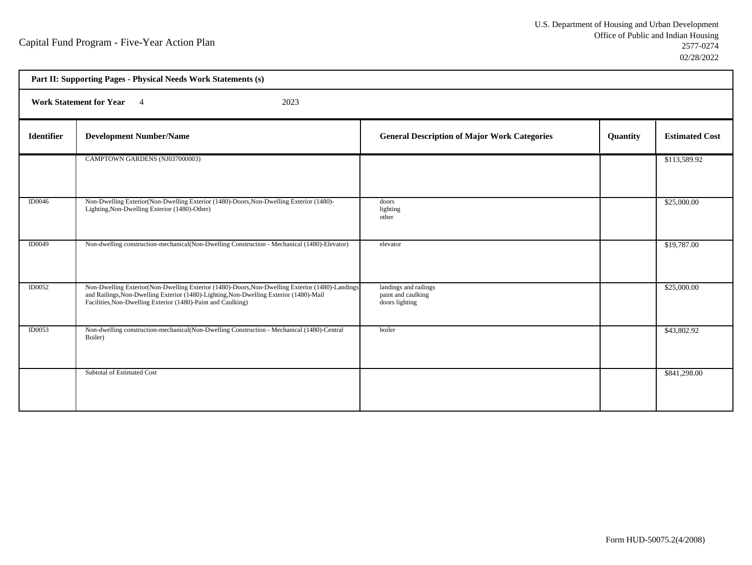| Part II: Supporting Pages - Physical Needs Work Statements (s) |                                                                                                                                                                                                                                                            |                                                               |          |                       |
|----------------------------------------------------------------|------------------------------------------------------------------------------------------------------------------------------------------------------------------------------------------------------------------------------------------------------------|---------------------------------------------------------------|----------|-----------------------|
| Work Statement for Year 4<br>2023                              |                                                                                                                                                                                                                                                            |                                                               |          |                       |
| <b>Identifier</b>                                              | <b>Development Number/Name</b>                                                                                                                                                                                                                             | <b>General Description of Major Work Categories</b>           | Quantity | <b>Estimated Cost</b> |
|                                                                | CAMPTOWN GARDENS (NJ037000003)                                                                                                                                                                                                                             |                                                               |          | \$113,589.92          |
| ID0046                                                         | Non-Dwelling Exterior (Non-Dwelling Exterior (1480)-Doors, Non-Dwelling Exterior (1480)-<br>Lighting, Non-Dwelling Exterior (1480)-Other)                                                                                                                  | doors<br>lighting<br>other                                    |          | \$25,000.00           |
| <b>ID0049</b>                                                  | Non-dwelling construction-mechanical(Non-Dwelling Construction - Mechanical (1480)-Elevator)                                                                                                                                                               | elevator                                                      |          | \$19,787.00           |
| <b>ID0052</b>                                                  | Non-Dwelling Exterior (Non-Dwelling Exterior (1480)-Doors, Non-Dwelling Exterior (1480)-Landings<br>and Railings, Non-Dwelling Exterior (1480)-Lighting, Non-Dwelling Exterior (1480)-Mail<br>Facilities, Non-Dwelling Exterior (1480)-Paint and Caulking) | landings and railings<br>paint and caulking<br>doors lighting |          | \$25,000.00           |
| ID0053                                                         | Non-dwelling construction-mechanical(Non-Dwelling Construction - Mechanical (1480)-Central<br>Boiler)                                                                                                                                                      | boiler                                                        |          | \$43,802.92           |
|                                                                | Subtotal of Estimated Cost                                                                                                                                                                                                                                 |                                                               |          | \$841,298.00          |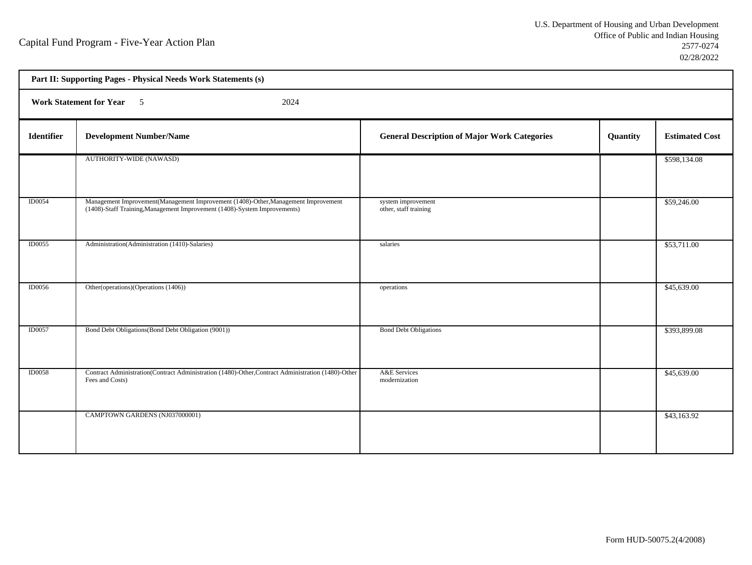| Part II: Supporting Pages - Physical Needs Work Statements (s) |                                                                                                                                                                 |                                                     |          |                       |
|----------------------------------------------------------------|-----------------------------------------------------------------------------------------------------------------------------------------------------------------|-----------------------------------------------------|----------|-----------------------|
| Work Statement for Year 5<br>2024                              |                                                                                                                                                                 |                                                     |          |                       |
| Identifier                                                     | <b>Development Number/Name</b>                                                                                                                                  | <b>General Description of Major Work Categories</b> | Quantity | <b>Estimated Cost</b> |
|                                                                | AUTHORITY-WIDE (NAWASD)                                                                                                                                         |                                                     |          | \$598,134.08          |
| <b>ID0054</b>                                                  | Management Improvement(Management Improvement (1408)-Other, Management Improvement<br>(1408)-Staff Training, Management Improvement (1408)-System Improvements) | system improvement<br>other, staff training         |          | \$59,246.00           |
| <b>ID0055</b>                                                  | Administration(Administration (1410)-Salaries)                                                                                                                  | salaries                                            |          | \$53,711.00           |
| <b>ID0056</b>                                                  | Other(operations)(Operations (1406))                                                                                                                            | operations                                          |          | \$45,639.00           |
| <b>ID0057</b>                                                  | Bond Debt Obligations (Bond Debt Obligation (9001))                                                                                                             | <b>Bond Debt Obligations</b>                        |          | \$393,899.08          |
| <b>ID0058</b>                                                  | Contract Administration(Contract Administration (1480)-Other, Contract Administration (1480)-Other<br>Fees and Costs)                                           | A&E Services<br>modernization                       |          | \$45,639.00           |
|                                                                | CAMPTOWN GARDENS (NJ037000001)                                                                                                                                  |                                                     |          | \$43,163.92           |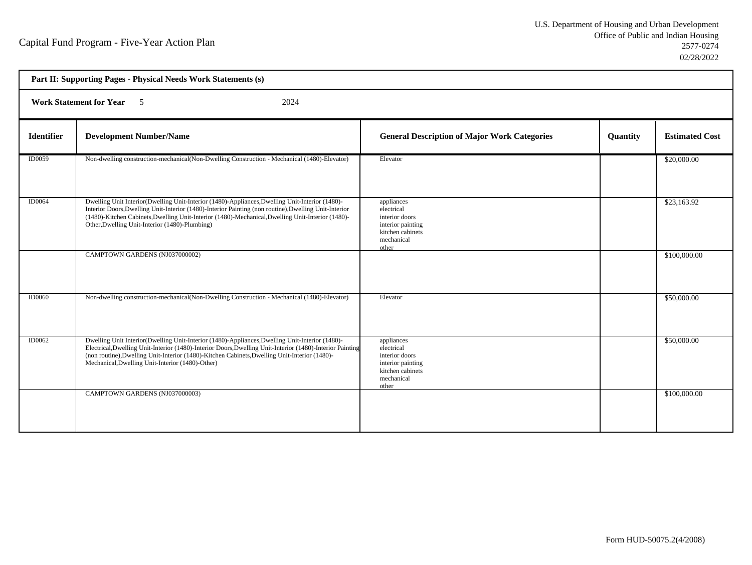| Part II: Supporting Pages - Physical Needs Work Statements (s) |                                                                                                                                                                                                                                                                                                                                                                   |                                                                                                            |                 |                       |
|----------------------------------------------------------------|-------------------------------------------------------------------------------------------------------------------------------------------------------------------------------------------------------------------------------------------------------------------------------------------------------------------------------------------------------------------|------------------------------------------------------------------------------------------------------------|-----------------|-----------------------|
| <b>Work Statement for Year</b><br>2024<br>$\sim$ 5             |                                                                                                                                                                                                                                                                                                                                                                   |                                                                                                            |                 |                       |
| <b>Identifier</b>                                              | <b>Development Number/Name</b>                                                                                                                                                                                                                                                                                                                                    | <b>General Description of Major Work Categories</b>                                                        | <b>Quantity</b> | <b>Estimated Cost</b> |
| ID0059                                                         | Non-dwelling construction-mechanical(Non-Dwelling Construction - Mechanical (1480)-Elevator)                                                                                                                                                                                                                                                                      | Elevator                                                                                                   |                 | \$20,000.00           |
| ID0064                                                         | Dwelling Unit Interior(Dwelling Unit-Interior (1480)-Appliances, Dwelling Unit-Interior (1480)-<br>Interior Doors, Dwelling Unit-Interior (1480)-Interior Painting (non routine), Dwelling Unit-Interior<br>(1480)-Kitchen Cabinets, Dwelling Unit-Interior (1480)-Mechanical, Dwelling Unit-Interior (1480)-<br>Other, Dwelling Unit-Interior (1480)-Plumbing)   | appliances<br>electrical<br>interior doors<br>interior painting<br>kitchen cabinets<br>mechanical<br>other |                 | \$23,163.92           |
|                                                                | CAMPTOWN GARDENS (NJ037000002)                                                                                                                                                                                                                                                                                                                                    |                                                                                                            |                 | \$100,000.00          |
| ID0060                                                         | Non-dwelling construction-mechanical(Non-Dwelling Construction - Mechanical (1480)-Elevator)                                                                                                                                                                                                                                                                      | Elevator                                                                                                   |                 | \$50,000.00           |
| ID0062                                                         | Dwelling Unit Interior(Dwelling Unit-Interior (1480)-Appliances, Dwelling Unit-Interior (1480)-<br>Electrical, Dwelling Unit-Interior (1480)-Interior Doors, Dwelling Unit-Interior (1480)-Interior Painting<br>(non routine), Dwelling Unit-Interior (1480)-Kitchen Cabinets, Dwelling Unit-Interior (1480)-<br>Mechanical, Dwelling Unit-Interior (1480)-Other) | appliances<br>electrical<br>interior doors<br>interior painting<br>kitchen cabinets<br>mechanical<br>other |                 | \$50,000.00           |
|                                                                | CAMPTOWN GARDENS (NJ037000003)                                                                                                                                                                                                                                                                                                                                    |                                                                                                            |                 | \$100,000.00          |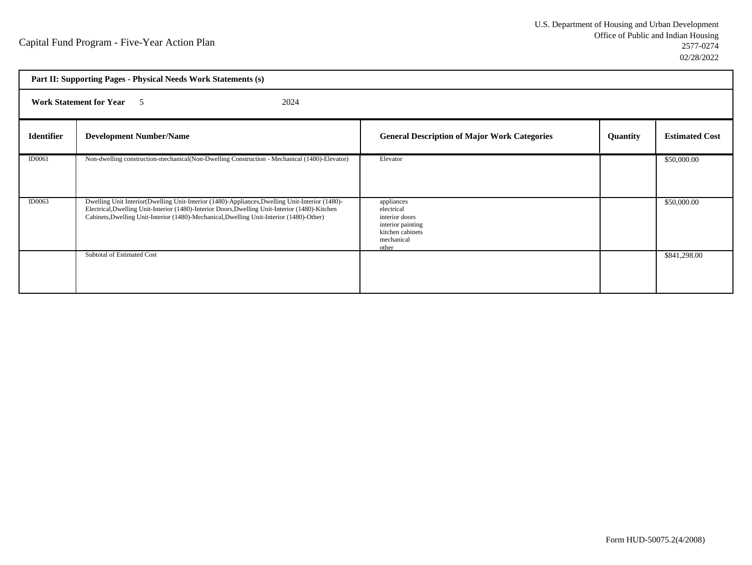| Part II: Supporting Pages - Physical Needs Work Statements (s) |                                                                                                                                                                                                                                                                                                 |                                                                                                            |                 |                       |
|----------------------------------------------------------------|-------------------------------------------------------------------------------------------------------------------------------------------------------------------------------------------------------------------------------------------------------------------------------------------------|------------------------------------------------------------------------------------------------------------|-----------------|-----------------------|
| <b>Work Statement for Year</b> 5<br>2024                       |                                                                                                                                                                                                                                                                                                 |                                                                                                            |                 |                       |
| <b>Identifier</b>                                              | <b>Development Number/Name</b>                                                                                                                                                                                                                                                                  | <b>General Description of Major Work Categories</b>                                                        | <b>Quantity</b> | <b>Estimated Cost</b> |
| ID0061                                                         | Non-dwelling construction-mechanical(Non-Dwelling Construction - Mechanical (1480)-Elevator)                                                                                                                                                                                                    | Elevator                                                                                                   |                 | \$50,000.00           |
| <b>ID0063</b>                                                  | Dwelling Unit Interior (Dwelling Unit-Interior (1480)-Appliances, Dwelling Unit-Interior (1480)-<br>Electrical, Dwelling Unit-Interior (1480)-Interior Doors, Dwelling Unit-Interior (1480)-Kitchen<br>Cabinets, Dwelling Unit-Interior (1480)-Mechanical, Dwelling Unit-Interior (1480)-Other) | appliances<br>electrical<br>interior doors<br>interior painting<br>kitchen cabinets<br>mechanical<br>other |                 | \$50,000.00           |
|                                                                | Subtotal of Estimated Cost                                                                                                                                                                                                                                                                      |                                                                                                            |                 | \$841,298.00          |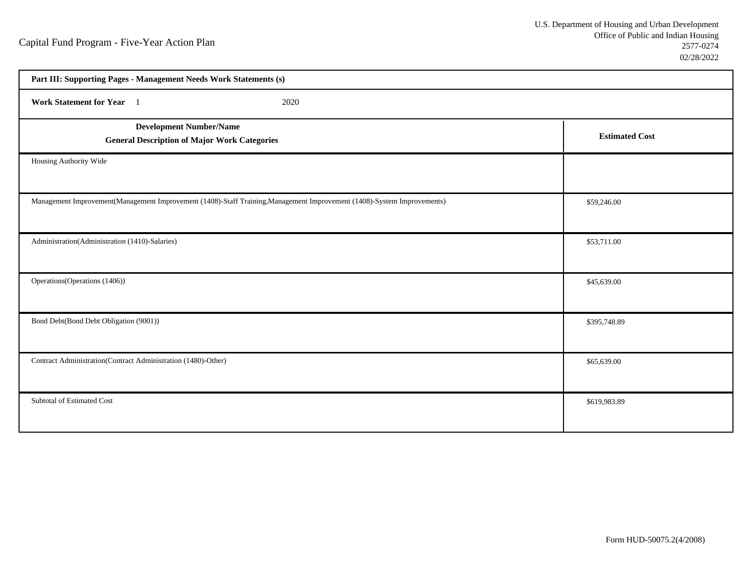| Part III: Supporting Pages - Management Needs Work Statements (s)                                                       |                       |  |
|-------------------------------------------------------------------------------------------------------------------------|-----------------------|--|
| Work Statement for Year 1<br>2020                                                                                       |                       |  |
| <b>Development Number/Name</b><br><b>General Description of Major Work Categories</b>                                   | <b>Estimated Cost</b> |  |
| Housing Authority Wide                                                                                                  |                       |  |
| Management Improvement(Management Improvement (1408)-Staff Training, Management Improvement (1408)-System Improvements) | \$59,246.00           |  |
| Administration(Administration (1410)-Salaries)                                                                          | \$53,711.00           |  |
| Operations (Operations (1406))                                                                                          | \$45,639.00           |  |
| Bond Debt(Bond Debt Obligation (9001))                                                                                  | \$395,748.89          |  |
| Contract Administration(Contract Administration (1480)-Other)                                                           | \$65,639.00           |  |
| Subtotal of Estimated Cost                                                                                              | \$619,983.89          |  |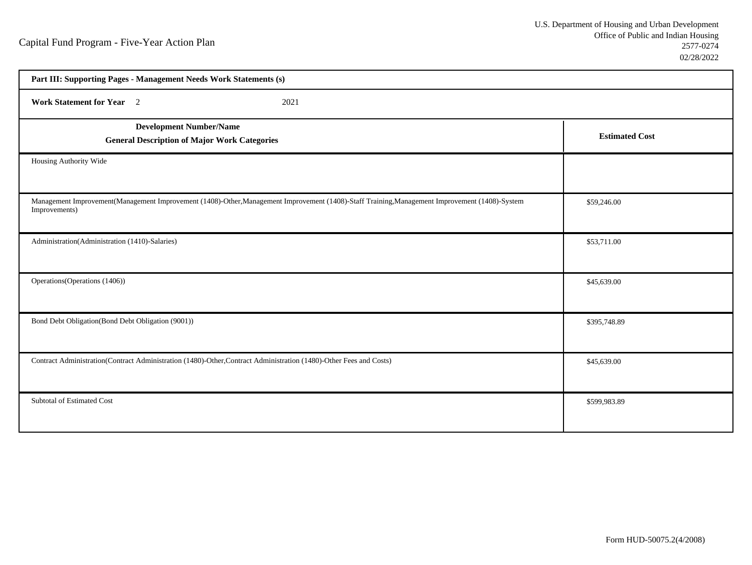| Part III: Supporting Pages - Management Needs Work Statements (s)                                                                                               |                       |  |
|-----------------------------------------------------------------------------------------------------------------------------------------------------------------|-----------------------|--|
| Work Statement for Year 2<br>2021                                                                                                                               |                       |  |
| <b>Development Number/Name</b><br><b>General Description of Major Work Categories</b>                                                                           | <b>Estimated Cost</b> |  |
| Housing Authority Wide                                                                                                                                          |                       |  |
| Management Improvement(Management Improvement (1408)-Other, Management Improvement (1408)-Staff Training, Management Improvement (1408)-System<br>Improvements) | \$59,246.00           |  |
| Administration(Administration (1410)-Salaries)                                                                                                                  | \$53,711.00           |  |
| Operations (Operations (1406))                                                                                                                                  | \$45,639.00           |  |
| Bond Debt Obligation(Bond Debt Obligation (9001))                                                                                                               | \$395,748.89          |  |
| Contract Administration(Contract Administration (1480)-Other,Contract Administration (1480)-Other Fees and Costs)                                               | \$45,639.00           |  |
| Subtotal of Estimated Cost                                                                                                                                      | \$599,983.89          |  |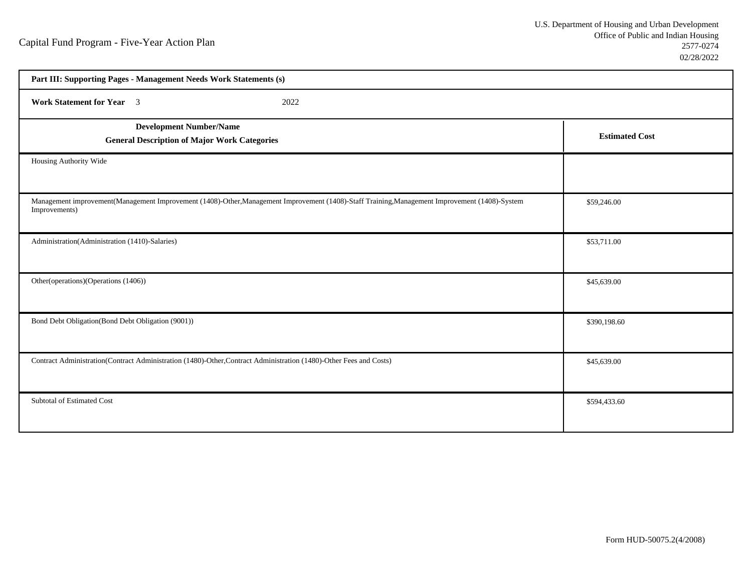| Part III: Supporting Pages - Management Needs Work Statements (s)                                                                                             |                       |  |
|---------------------------------------------------------------------------------------------------------------------------------------------------------------|-----------------------|--|
| Work Statement for Year 3<br>2022                                                                                                                             |                       |  |
| <b>Development Number/Name</b><br><b>General Description of Major Work Categories</b>                                                                         | <b>Estimated Cost</b> |  |
| Housing Authority Wide                                                                                                                                        |                       |  |
| Management improvement(Management Improvement (1408)-Other,Management Improvement (1408)-Staff Training,Management Improvement (1408)-System<br>Improvements) | \$59,246.00           |  |
| Administration(Administration (1410)-Salaries)                                                                                                                | \$53,711.00           |  |
| Other(operations)(Operations (1406))                                                                                                                          | \$45,639.00           |  |
| Bond Debt Obligation(Bond Debt Obligation (9001))                                                                                                             | \$390,198.60          |  |
| Contract Administration(Contract Administration (1480)-Other,Contract Administration (1480)-Other Fees and Costs)                                             | \$45,639.00           |  |
| Subtotal of Estimated Cost                                                                                                                                    | \$594,433.60          |  |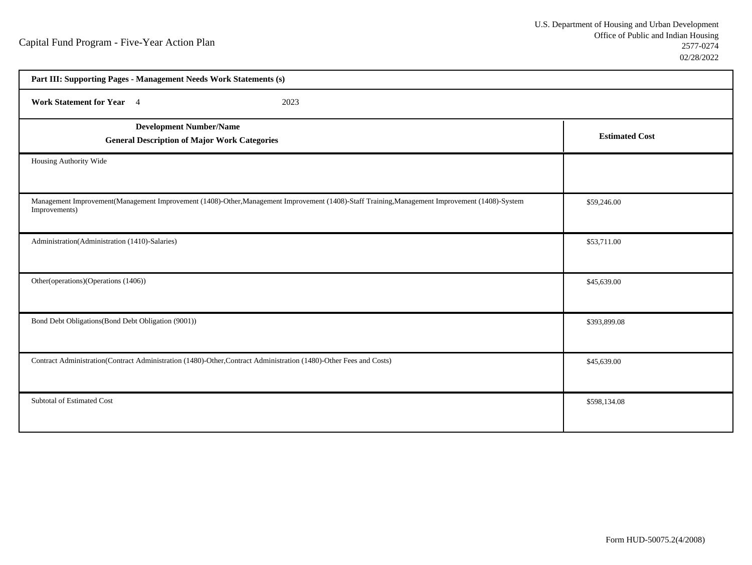| Part III: Supporting Pages - Management Needs Work Statements (s)                                                                                               |                       |  |
|-----------------------------------------------------------------------------------------------------------------------------------------------------------------|-----------------------|--|
| Work Statement for Year 4<br>2023                                                                                                                               |                       |  |
| <b>Development Number/Name</b><br><b>General Description of Major Work Categories</b>                                                                           | <b>Estimated Cost</b> |  |
| Housing Authority Wide                                                                                                                                          |                       |  |
| Management Improvement(Management Improvement (1408)-Other, Management Improvement (1408)-Staff Training, Management Improvement (1408)-System<br>Improvements) | \$59,246.00           |  |
| Administration(Administration (1410)-Salaries)                                                                                                                  | \$53,711.00           |  |
| Other(operations)(Operations (1406))                                                                                                                            | \$45,639.00           |  |
| Bond Debt Obligations (Bond Debt Obligation (9001))                                                                                                             | \$393,899.08          |  |
| Contract Administration(Contract Administration (1480)-Other,Contract Administration (1480)-Other Fees and Costs)                                               | \$45,639.00           |  |
| Subtotal of Estimated Cost                                                                                                                                      | \$598,134.08          |  |